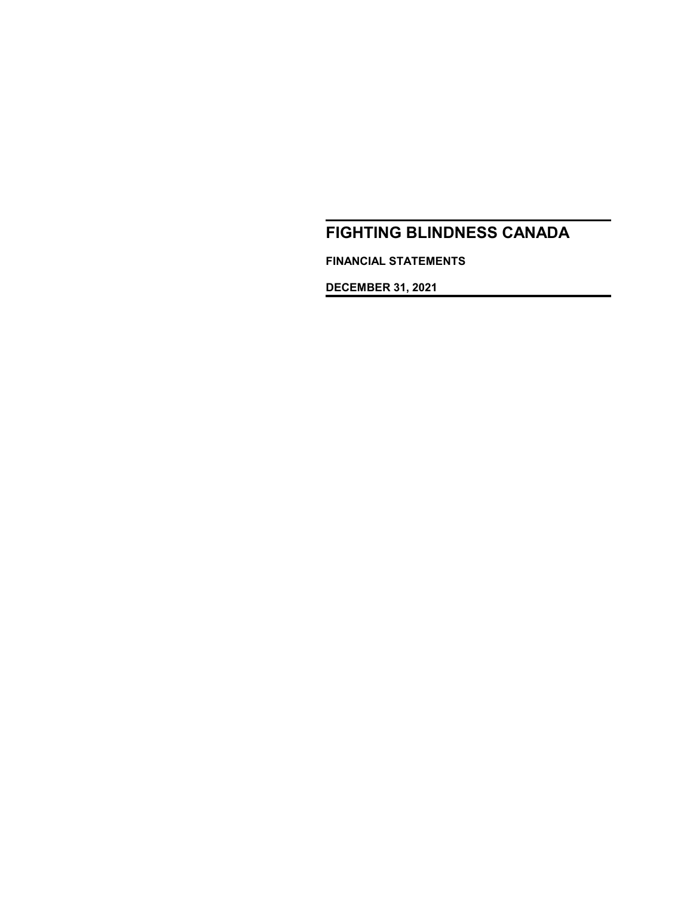**FINANCIAL STATEMENTS**

**DECEMBER 31, 2021**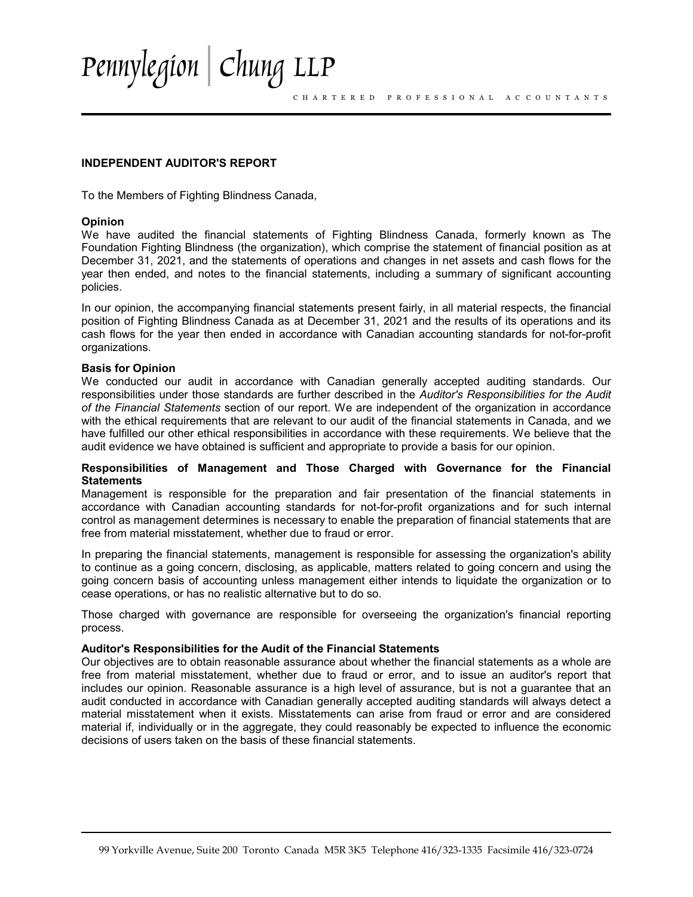Pennylegion|Chung LLP

#### **INDEPENDENT AUDITOR'S REPORT**

To the Members of Fighting Blindness Canada,

#### **Opinion**

We have audited the financial statements of Fighting Blindness Canada, formerly known as The Foundation Fighting Blindness (the organization), which comprise the statement of financial position as at December 31, 2021, and the statements of operations and changes in net assets and cash flows for the year then ended, and notes to the financial statements, including a summary of significant accounting policies.

In our opinion, the accompanying financial statements present fairly, in all material respects, the financial position of Fighting Blindness Canada as at December 31, 2021 and the results of its operations and its cash flows for the year then ended in accordance with Canadian accounting standards for not-for-profit organizations.

#### **Basis for Opinion**

We conducted our audit in accordance with Canadian generally accepted auditing standards. Our responsibilities under those standards are further described in the *Auditor's Responsibilities for the Audit of the Financial Statements* section of our report. We are independent of the organization in accordance with the ethical requirements that are relevant to our audit of the financial statements in Canada, and we have fulfilled our other ethical responsibilities in accordance with these requirements. We believe that the audit evidence we have obtained is sufficient and appropriate to provide a basis for our opinion.

#### **Responsibilities of Management and Those Charged with Governance for the Financial Statements**

Management is responsible for the preparation and fair presentation of the financial statements in accordance with Canadian accounting standards for not-for-profit organizations and for such internal control as management determines is necessary to enable the preparation of financial statements that are free from material misstatement, whether due to fraud or error.

In preparing the financial statements, management is responsible for assessing the organization's ability to continue as a going concern, disclosing, as applicable, matters related to going concern and using the going concern basis of accounting unless management either intends to liquidate the organization or to cease operations, or has no realistic alternative but to do so.

Those charged with governance are responsible for overseeing the organization's financial reporting process.

#### **Auditor's Responsibilities for the Audit of the Financial Statements**

Our objectives are to obtain reasonable assurance about whether the financial statements as a whole are free from material misstatement, whether due to fraud or error, and to issue an auditor's report that includes our opinion. Reasonable assurance is a high level of assurance, but is not a guarantee that an audit conducted in accordance with Canadian generally accepted auditing standards will always detect a material misstatement when it exists. Misstatements can arise from fraud or error and are considered material if, individually or in the aggregate, they could reasonably be expected to influence the economic decisions of users taken on the basis of these financial statements.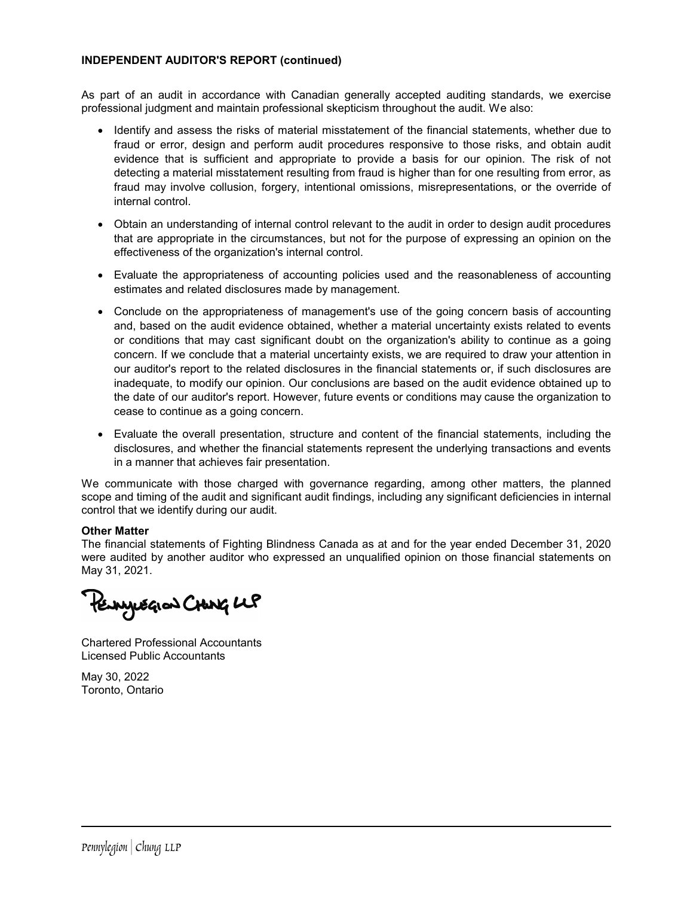#### **INDEPENDENT AUDITOR'S REPORT (continued)**

As part of an audit in accordance with Canadian generally accepted auditing standards, we exercise professional judgment and maintain professional skepticism throughout the audit. We also:

- Identify and assess the risks of material misstatement of the financial statements, whether due to fraud or error, design and perform audit procedures responsive to those risks, and obtain audit evidence that is sufficient and appropriate to provide a basis for our opinion. The risk of not detecting a material misstatement resulting from fraud is higher than for one resulting from error, as fraud may involve collusion, forgery, intentional omissions, misrepresentations, or the override of internal control.
- Obtain an understanding of internal control relevant to the audit in order to design audit procedures that are appropriate in the circumstances, but not for the purpose of expressing an opinion on the effectiveness of the organization's internal control.
- Evaluate the appropriateness of accounting policies used and the reasonableness of accounting estimates and related disclosures made by management.
- Conclude on the appropriateness of management's use of the going concern basis of accounting and, based on the audit evidence obtained, whether a material uncertainty exists related to events or conditions that may cast significant doubt on the organization's ability to continue as a going concern. If we conclude that a material uncertainty exists, we are required to draw your attention in our auditor's report to the related disclosures in the financial statements or, if such disclosures are inadequate, to modify our opinion. Our conclusions are based on the audit evidence obtained up to the date of our auditor's report. However, future events or conditions may cause the organization to cease to continue as a going concern.
- Evaluate the overall presentation, structure and content of the financial statements, including the disclosures, and whether the financial statements represent the underlying transactions and events in a manner that achieves fair presentation.

We communicate with those charged with governance regarding, among other matters, the planned scope and timing of the audit and significant audit findings, including any significant deficiencies in internal control that we identify during our audit.

#### **Other Matter**

The financial statements of Fighting Blindness Canada as at and for the year ended December 31, 2020 were audited by another auditor who expressed an unqualified opinion on those financial statements on May 31, 2021.

PENYVEGION CHUNG LLP

Chartered Professional Accountants Licensed Public Accountants

May 30, 2022 Toronto, Ontario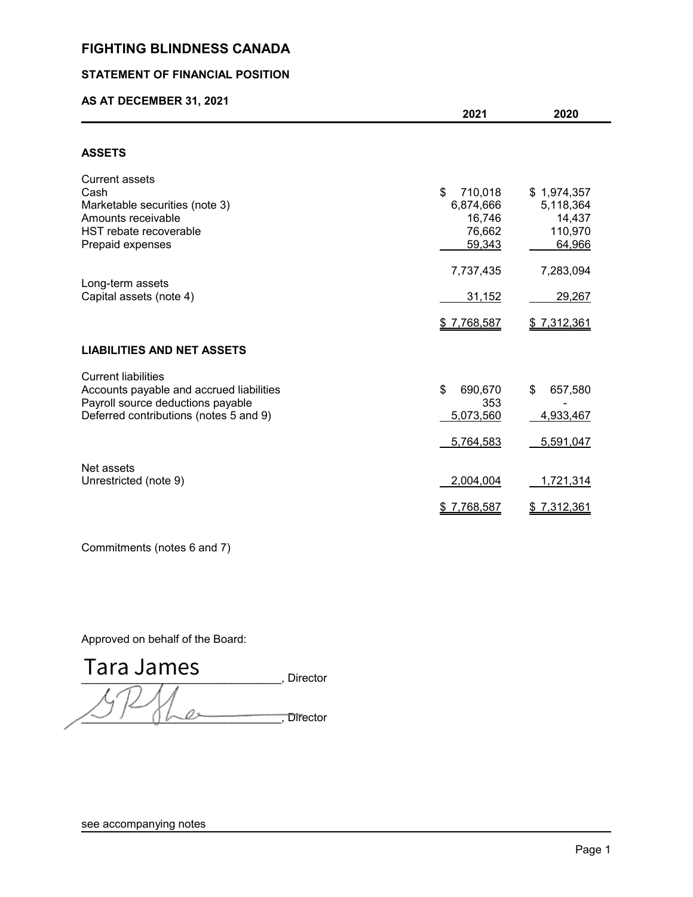### **STATEMENT OF FINANCIAL POSITION**

## **AS AT DECEMBER 31, 2021**

|                                                                                                                                                       | 2021                                                     | 2020                                                    |
|-------------------------------------------------------------------------------------------------------------------------------------------------------|----------------------------------------------------------|---------------------------------------------------------|
|                                                                                                                                                       |                                                          |                                                         |
| <b>ASSETS</b>                                                                                                                                         |                                                          |                                                         |
| Current assets<br>Cash<br>Marketable securities (note 3)<br>Amounts receivable<br>HST rebate recoverable<br>Prepaid expenses                          | \$<br>710,018<br>6,874,666<br>16,746<br>76,662<br>59,343 | \$1,974,357<br>5,118,364<br>14,437<br>110,970<br>64,966 |
| Long-term assets<br>Capital assets (note 4)                                                                                                           | 7,737,435<br>31,152<br>\$7,768,587                       | 7,283,094<br>29,267<br>\$7,312,361                      |
| <b>LIABILITIES AND NET ASSETS</b>                                                                                                                     |                                                          |                                                         |
| <b>Current liabilities</b><br>Accounts payable and accrued liabilities<br>Payroll source deductions payable<br>Deferred contributions (notes 5 and 9) | \$<br>690,670<br>353<br>5,073,560<br>5,764,583           | \$<br>657,580<br>4,933,467<br>5,591,047                 |
| Net assets<br>Unrestricted (note 9)                                                                                                                   | 2,004,004<br>\$7,768,587                                 | 1,721,314<br>\$7,312,361                                |

Commitments (notes 6 and 7)

Approved on behalf of the Board:

\_\_\_\_\_\_\_\_\_\_\_\_\_\_\_\_\_\_\_\_\_\_\_\_\_\_\_\_\_\_\_\_, Director  $Q \triangleright$  Director Tara James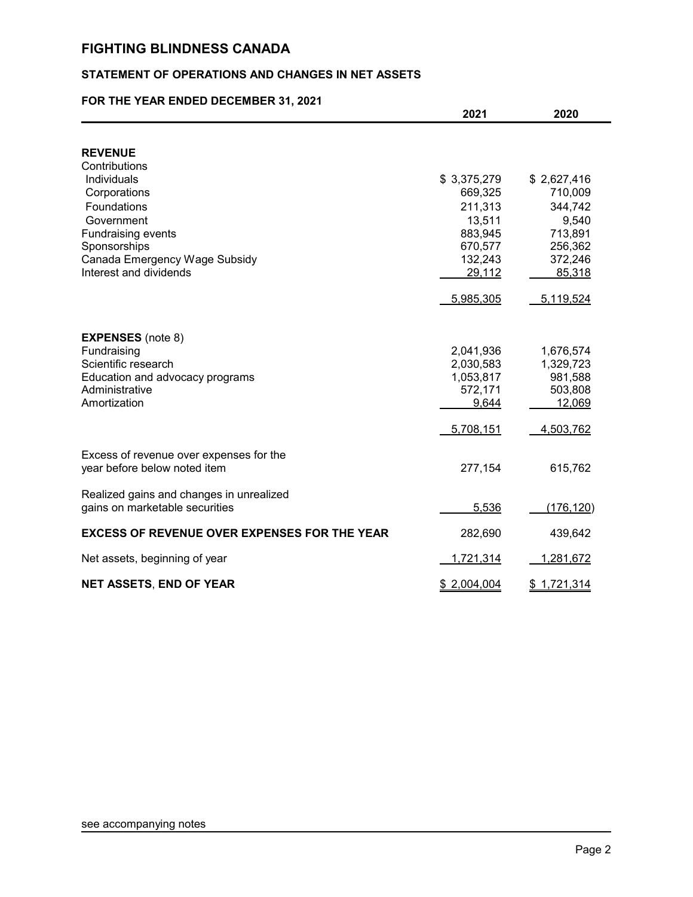## **STATEMENT OF OPERATIONS AND CHANGES IN NET ASSETS**

## **FOR THE YEAR ENDED DECEMBER 31, 2021**

| IN THE TEAN ENDED DEVENIDEN 91, 2021                                       | 2021        | 2020        |
|----------------------------------------------------------------------------|-------------|-------------|
| <b>REVENUE</b>                                                             |             |             |
| Contributions                                                              |             |             |
| Individuals                                                                | \$3,375,279 | \$2,627,416 |
| Corporations                                                               | 669,325     | 710,009     |
| Foundations                                                                | 211,313     | 344,742     |
| Government                                                                 | 13,511      | 9,540       |
| <b>Fundraising events</b>                                                  | 883,945     | 713,891     |
| Sponsorships                                                               | 670,577     | 256,362     |
| Canada Emergency Wage Subsidy                                              | 132,243     | 372,246     |
| Interest and dividends                                                     | 29,112      | 85,318      |
|                                                                            | 5,985,305   | 5,119,524   |
| <b>EXPENSES</b> (note 8)                                                   |             |             |
| Fundraising                                                                | 2,041,936   | 1,676,574   |
| Scientific research                                                        | 2,030,583   | 1,329,723   |
| Education and advocacy programs                                            | 1,053,817   | 981,588     |
| Administrative                                                             | 572,171     | 503,808     |
| Amortization                                                               | 9,644       | 12,069      |
|                                                                            | 5,708,151   | 4,503,762   |
| Excess of revenue over expenses for the<br>year before below noted item    | 277,154     | 615,762     |
| Realized gains and changes in unrealized<br>gains on marketable securities | 5,536       | (176, 120)  |
| <b>EXCESS OF REVENUE OVER EXPENSES FOR THE YEAR</b>                        | 282,690     | 439,642     |
| Net assets, beginning of year                                              | 1,721,314   | 1,281,672   |
| <b>NET ASSETS, END OF YEAR</b>                                             | \$2,004,004 | \$1,721,314 |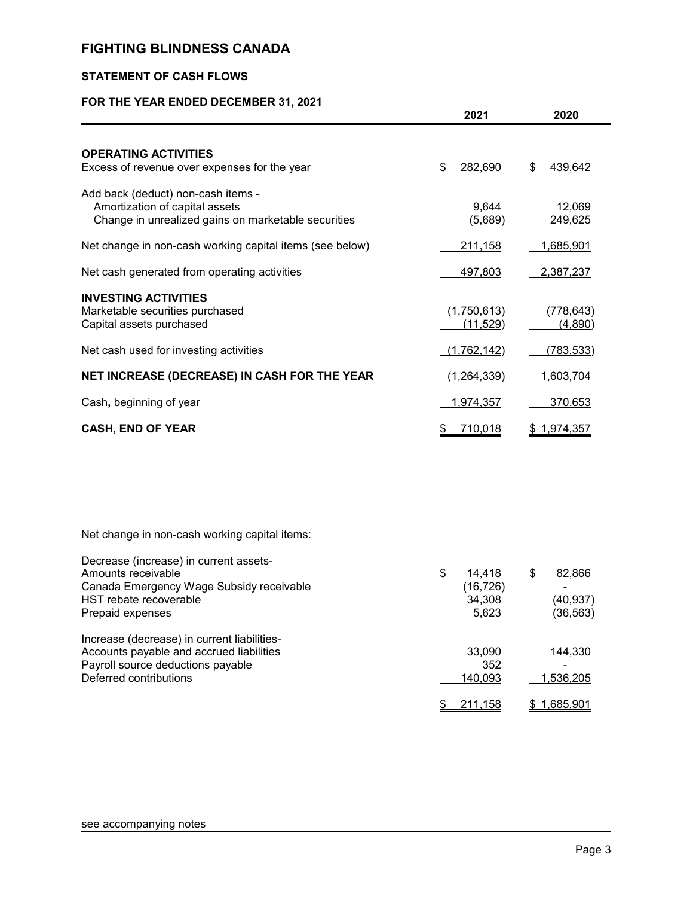## **STATEMENT OF CASH FLOWS**

## **FOR THE YEAR ENDED DECEMBER 31, 2021**

| , OR THE TEAR ENDED DEVENIDER 01, 2021                   | 2021           | 2020             |  |
|----------------------------------------------------------|----------------|------------------|--|
|                                                          |                |                  |  |
| <b>OPERATING ACTIVITIES</b>                              |                |                  |  |
| Excess of revenue over expenses for the year             | \$<br>282,690  | \$<br>439,642    |  |
| Add back (deduct) non-cash items -                       |                |                  |  |
| Amortization of capital assets                           | 9,644          | 12,069           |  |
| Change in unrealized gains on marketable securities      | (5,689)        | 249,625          |  |
| Net change in non-cash working capital items (see below) | <u>211,158</u> | <u>1,685,901</u> |  |
| Net cash generated from operating activities             | 497,803        | 2,387,237        |  |
|                                                          |                |                  |  |
| <b>INVESTING ACTIVITIES</b>                              |                |                  |  |
| Marketable securities purchased                          | (1,750,613)    | (778,643)        |  |
| Capital assets purchased                                 | (11, 529)      | (4,890)          |  |
| Net cash used for investing activities                   | (1,762,142)    | <u>(783,533)</u> |  |
| NET INCREASE (DECREASE) IN CASH FOR THE YEAR             | (1, 264, 339)  | 1,603,704        |  |
| Cash, beginning of year                                  | 1,974,357      | 370,653          |  |
|                                                          |                |                  |  |
| <b>CASH, END OF YEAR</b>                                 | 710,018<br>\$  | \$1,974,357      |  |

Net change in non-cash working capital items:

| Decrease (increase) in current assets-      |              |    |           |
|---------------------------------------------|--------------|----|-----------|
| Amounts receivable                          | \$<br>14.418 | S  | 82,866    |
| Canada Emergency Wage Subsidy receivable    | (16,726)     |    |           |
| HST rebate recoverable                      | 34,308       |    | (40, 937) |
| Prepaid expenses                            | 5.623        |    | (36, 563) |
| Increase (decrease) in current liabilities- |              |    |           |
| Accounts payable and accrued liabilities    | 33.090       |    | 144.330   |
| Payroll source deductions payable           | 352          |    |           |
| Deferred contributions                      | 140.093      |    | 1.536.205 |
|                                             | 211,158      | S. | 1,685,901 |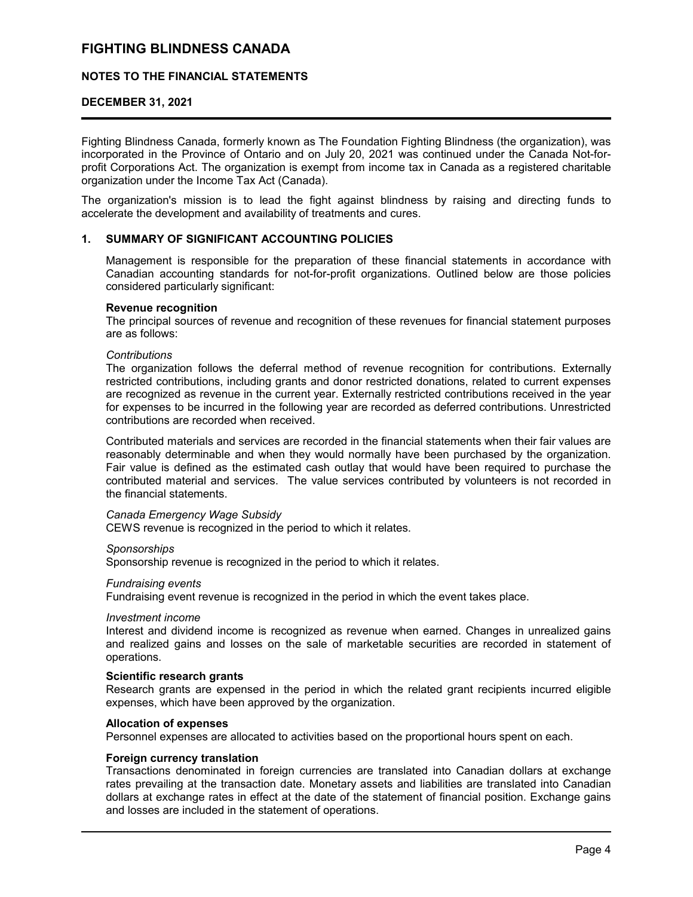#### **NOTES TO THE FINANCIAL STATEMENTS**

#### **DECEMBER 31, 2021**

Fighting Blindness Canada, formerly known as The Foundation Fighting Blindness (the organization), was incorporated in the Province of Ontario and on July 20, 2021 was continued under the Canada Not-forprofit Corporations Act. The organization is exempt from income tax in Canada as a registered charitable organization under the Income Tax Act (Canada).

The organization's mission is to lead the fight against blindness by raising and directing funds to accelerate the development and availability of treatments and cures.

#### **1. SUMMARY OF SIGNIFICANT ACCOUNTING POLICIES**

Management is responsible for the preparation of these financial statements in accordance with Canadian accounting standards for not-for-profit organizations. Outlined below are those policies considered particularly significant:

#### **Revenue recognition**

The principal sources of revenue and recognition of these revenues for financial statement purposes are as follows:

#### *Contributions*

The organization follows the deferral method of revenue recognition for contributions. Externally restricted contributions, including grants and donor restricted donations, related to current expenses are recognized as revenue in the current year. Externally restricted contributions received in the year for expenses to be incurred in the following year are recorded as deferred contributions. Unrestricted contributions are recorded when received.

Contributed materials and services are recorded in the financial statements when their fair values are reasonably determinable and when they would normally have been purchased by the organization. Fair value is defined as the estimated cash outlay that would have been required to purchase the contributed material and services. The value services contributed by volunteers is not recorded in the financial statements.

#### *Canada Emergency Wage Subsidy*

CEWS revenue is recognized in the period to which it relates.

#### *Sponsorships*

Sponsorship revenue is recognized in the period to which it relates.

#### *Fundraising events*

Fundraising event revenue is recognized in the period in which the event takes place.

#### *Investment income*

Interest and dividend income is recognized as revenue when earned. Changes in unrealized gains and realized gains and losses on the sale of marketable securities are recorded in statement of operations.

#### **Scientific research grants**

Research grants are expensed in the period in which the related grant recipients incurred eligible expenses, which have been approved by the organization.

#### **Allocation of expenses**

Personnel expenses are allocated to activities based on the proportional hours spent on each.

#### **Foreign currency translation**

Transactions denominated in foreign currencies are translated into Canadian dollars at exchange rates prevailing at the transaction date. Monetary assets and liabilities are translated into Canadian dollars at exchange rates in effect at the date of the statement of financial position. Exchange gains and losses are included in the statement of operations.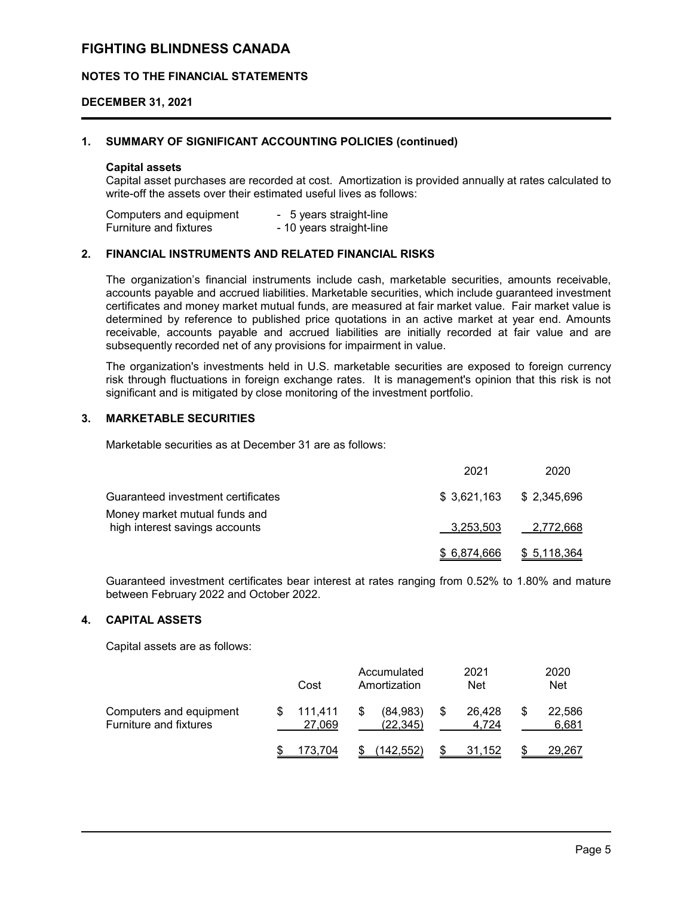#### **NOTES TO THE FINANCIAL STATEMENTS**

#### **DECEMBER 31, 2021**

#### **1. SUMMARY OF SIGNIFICANT ACCOUNTING POLICIES (continued)**

#### **Capital assets**

Capital asset purchases are recorded at cost. Amortization is provided annually at rates calculated to write-off the assets over their estimated useful lives as follows:

| Computers and equipment | - 5 years straight-line  |
|-------------------------|--------------------------|
| Furniture and fixtures  | - 10 years straight-line |

#### **2. FINANCIAL INSTRUMENTS AND RELATED FINANCIAL RISKS**

The organization's financial instruments include cash, marketable securities, amounts receivable, accounts payable and accrued liabilities. Marketable securities, which include guaranteed investment certificates and money market mutual funds, are measured at fair market value. Fair market value is determined by reference to published price quotations in an active market at year end. Amounts receivable, accounts payable and accrued liabilities are initially recorded at fair value and are subsequently recorded net of any provisions for impairment in value.

The organization's investments held in U.S. marketable securities are exposed to foreign currency risk through fluctuations in foreign exchange rates. It is management's opinion that this risk is not significant and is mitigated by close monitoring of the investment portfolio.

#### **3. MARKETABLE SECURITIES**

Marketable securities as at December 31 are as follows:

|                                                                 | 2021                      | 2020      |
|-----------------------------------------------------------------|---------------------------|-----------|
| Guaranteed investment certificates                              | $$3,621,163$ $$2,345,696$ |           |
| Money market mutual funds and<br>high interest savings accounts | 3,253,503                 | 2,772,668 |
|                                                                 | $$6,874,666$ $$5,118,364$ |           |

Guaranteed investment certificates bear interest at rates ranging from 0.52% to 1.80% and mature between February 2022 and October 2022.

#### **4. CAPITAL ASSETS**

Capital assets are as follows:

|                                                   | Cost              |    | Accumulated<br>Amortization |   | 2021<br><b>Net</b> |   | 2020<br><b>Net</b> |
|---------------------------------------------------|-------------------|----|-----------------------------|---|--------------------|---|--------------------|
| Computers and equipment<br>Furniture and fixtures | 111.411<br>27.069 | S. | (84, 983)<br>(22.345)       | S | 26,428<br>4.724    | S | 22,586<br>6,681    |
|                                                   | 173.704           |    | (142.552)                   |   | 31.152             |   | 29,267             |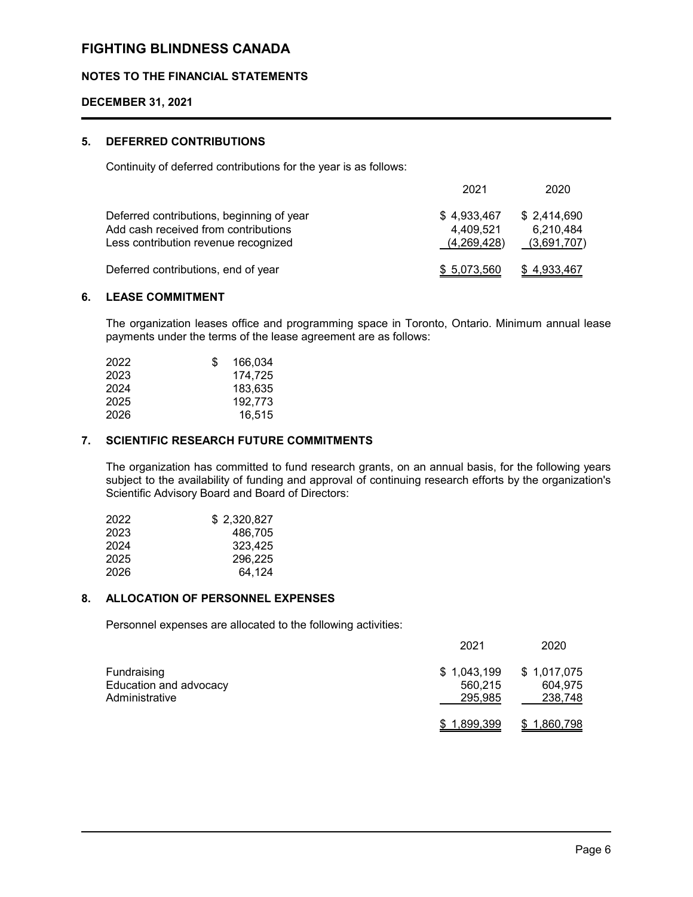#### **NOTES TO THE FINANCIAL STATEMENTS**

#### **DECEMBER 31, 2021**

#### **5. DEFERRED CONTRIBUTIONS**

Continuity of deferred contributions for the year is as follows:

|                                                                                                                           | 2021                                    | 2020                                    |
|---------------------------------------------------------------------------------------------------------------------------|-----------------------------------------|-----------------------------------------|
| Deferred contributions, beginning of year<br>Add cash received from contributions<br>Less contribution revenue recognized | \$4,933,467<br>4.409.521<br>(4,269,428) | \$2,414,690<br>6.210.484<br>(3,691,707) |
| Deferred contributions, end of year                                                                                       | \$ 5,073,560                            | \$4,933,467                             |

#### **6. LEASE COMMITMENT**

The organization leases office and programming space in Toronto, Ontario. Minimum annual lease payments under the terms of the lease agreement are as follows:

| 2022 | 166.034<br>\$. |
|------|----------------|
| 2023 | 174.725        |
| 2024 | 183.635        |
| 2025 | 192.773        |
| 2026 | 16.515         |

#### **7. SCIENTIFIC RESEARCH FUTURE COMMITMENTS**

The organization has committed to fund research grants, on an annual basis, for the following years subject to the availability of funding and approval of continuing research efforts by the organization's Scientific Advisory Board and Board of Directors:

| 2022 | \$2,320,827 |
|------|-------------|
| 2023 | 486.705     |
| 2024 | 323.425     |
| 2025 | 296.225     |
| 2026 | 64.124      |

#### **8. ALLOCATION OF PERSONNEL EXPENSES**

Personnel expenses are allocated to the following activities:

|                                                         | 2021                              | 2020                              |
|---------------------------------------------------------|-----------------------------------|-----------------------------------|
| Fundraising<br>Education and advocacy<br>Administrative | \$1,043,199<br>560.215<br>295,985 | \$1,017,075<br>604.975<br>238,748 |
|                                                         | \$1,899,399                       | \$1,860,798                       |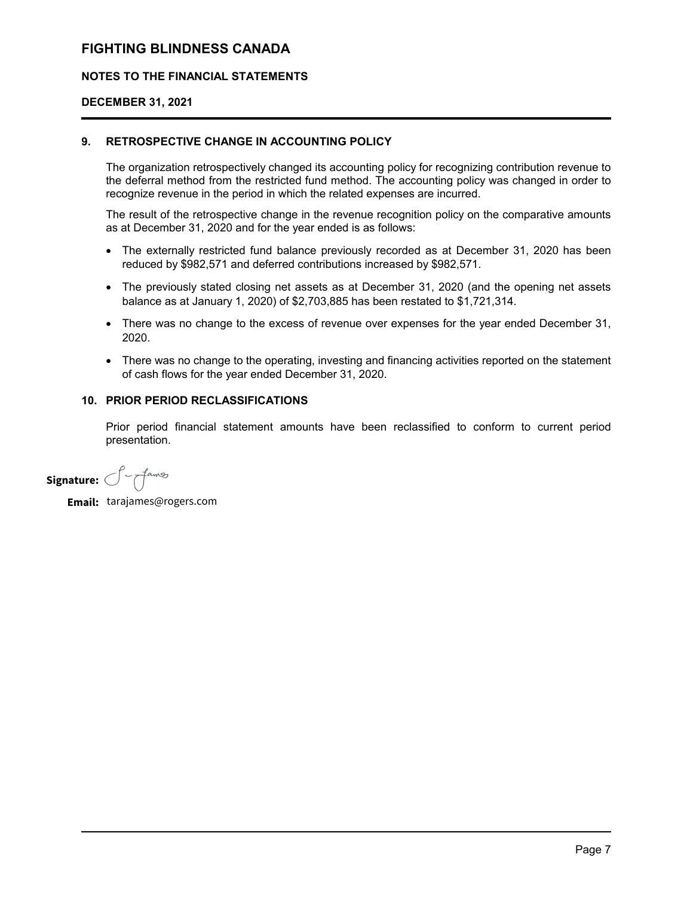#### **NOTES TO THE FINANCIAL STATEMENTS**

#### **DECEMBER 31, 2021**

#### **9. RETROSPECTIVE CHANGE IN ACCOUNTING POLICY**

The organization retrospectively changed its accounting policy for recognizing contribution revenue to the deferral method from the restricted fund method. The accounting policy was changed in order to recognize revenue in the period in which the related expenses are incurred.

The result of the retrospective change in the revenue recognition policy on the comparative amounts as at December 31, 2020 and for the year ended is as follows:

- The externally restricted fund balance previously recorded as at December 31, 2020 has been reduced by \$982,571 and deferred contributions increased by \$982,571.
- The previously stated closing net assets as at December 31, 2020 (and the opening net assets balance as at January 1, 2020) of \$2,703,885 has been restated to \$1,721,314.
- There was no change to the excess of revenue over expenses for the year ended December 31, 2020.
- There was no change to the operating, investing and financing activities reported on the statement of cash flows for the year ended December 31, 2020.

#### **10. PRIOR PERIOD RECLASSIFICATIONS**

Prior period financial statement amounts have been reclassified to conform to current period presentation.

Signature: <del>J</del>-fames

**Email:** tarajames@rogers.com